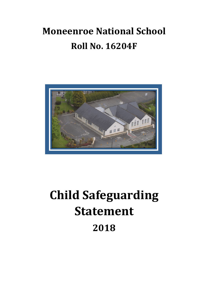## **Moneenroe National School Roll No. 16204F**



## **Child Safeguarding Statement 2018**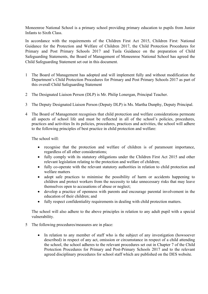Moneenroe National School is a primary school providing primary education to pupils from Junior Infants to Sixth Class.

In accordance with the requirements of the Children First Act 2015, Children First: National Guidance for the Protection and Welfare of Children 2017, the Child Protection Procedures for Primary and Post Primary Schools 2017 and Tusla Guidance on the preparation of Child Safeguarding Statements, the Board of Management of Moneenroe National School has agreed the Child Safeguarding Statement set out in this document.

- 1 The Board of Management has adopted and will implement fully and without modification the Department's Child Protection Procedures for Primary and Post Primary Schools 2017 as part of this overall Child Safeguarding Statement
- 2 The Designated Liaison Person (DLP) is Mr. Philip Lonergan, Principal Teacher.
- 3 The Deputy Designated Liaison Person (Deputy DLP) is Ms. Martha Dunphy, Deputy Principal.
- 4 The Board of Management recognises that child protection and welfare considerations permeate all aspects of school life and must be reflected in all of the school's policies, procedures, practices and activities In its policies, procedures, practices and activities, the school will adhere to the following principles of best practice in child protection and welfare:

The school will:

- recognise that the protection and welfare of children is of paramount importance, regardless of all other considerations;
- fully comply with its statutory obligations under the Children First Act 2015 and other relevant legislation relating to the protection and welfare of children;
- fully co-operate with the relevant statutory authorities in relation to child protection and welfare matters
- adopt safe practices to minimise the possibility of harm or accidents happening to children and protect workers from the necessity to take unnecessary risks that may leave themselves open to accusations of abuse or neglect;
- develop a practice of openness with parents and encourage parental involvement in the education of their children; and
- fully respect confidentiality requirements in dealing with child protection matters.

The school will also adhere to the above principles in relation to any adult pupil with a special vulnerability.

- 5 The following procedures/measures are in place:
	- In relation to any member of staff who is the subject of any investigation (howsoever described) in respect of any act, omission or circumstance in respect of a child attending the school, the school adheres to the relevant procedures set out in Chapter 7 of the Child Protection Procedures for Primary and Post-Primary Schools 2017 and to the relevant agreed disciplinary procedures for school staff which are published on the DES website.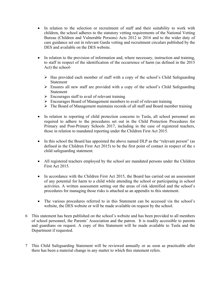- In relation to the selection or recruitment of staff and their suitability to work with children, the school adheres to the statutory vetting requirements of the National Vetting Bureau (Children and Vulnerable Persons) Acts 2012 to 2016 and to the wider duty of care guidance set out in relevant Garda vetting and recruitment circulars published by the DES and available on the DES website.
- In relation to the provision of information and, where necessary, instruction and training, to staff in respect of the identification of the occurrence of harm (as defined in the 2015 Act) the school-
	- $\triangleright$  Has provided each member of staff with a copy of the school's Child Safeguarding Statement
	- $\triangleright$  Ensures all new staff are provided with a copy of the school's Child Safeguarding Statement
	- $\triangleright$  Encourages staff to avail of relevant training
	- $\triangleright$  Encourages Board of Management members to avail of relevant training
	- $\triangleright$  The Board of Management maintains records of all staff and Board member training
- In relation to reporting of child protection concerns to Tusla, all school personnel are required to adhere to the procedures set out in the Child Protection Procedures for Primary and Post-Primary Schools 2017, including in the case of registered teachers, those in relation to mandated reporting under the Children First Act 2015.
- In this school the Board has appointed the above named DLP as the "relevant person" (as defined in the Children First Act 2015) to be the first point of contact in respect of the s child safeguarding statement.
- All registered teachers employed by the school are mandated persons under the Children First Act 2015.
- In accordance with the Children First Act 2015, the Board has carried out an assessment of any potential for harm to a child while attending the school or participating in school activities. A written assessment setting out the areas of risk identified and the school's procedures for managing those risks is attached as an appendix to this statement.
- The various procedures referred to in this Statement can be accessed via the school's website, the DES website or will be made available on request by the school.
- 6 This statement has been published on the school's website and has been provided to all members of school personnel, the Parents' Association and the patron. It is readily accessible to parents and guardians on request. A copy of this Statement will be made available to Tusla and the Department if requested.
- 7 This Child Safeguarding Statement will be reviewed annually or as soon as practicable after there has been a material change in any matter to which this statement refers.